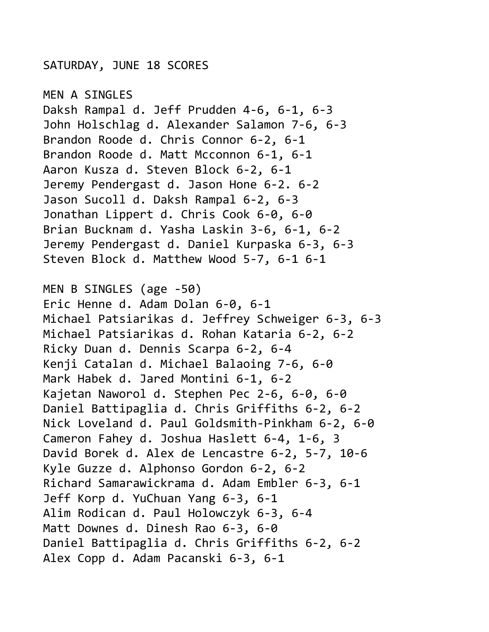## SATURDAY, JUNE 18 SCORES

MEN A SINGLES Daksh Rampal d. Jeff Prudden 4-6, 6-1, 6-3 John Holschlag d. Alexander Salamon 7-6, 6-3 Brandon Roode d. Chris Connor 6-2, 6-1 Brandon Roode d. Matt Mcconnon 6-1, 6-1 Aaron Kusza d. Steven Block 6-2, 6-1 Jeremy Pendergast d. Jason Hone 6-2. 6-2 Jason Sucoll d. Daksh Rampal 6-2, 6-3 Jonathan Lippert d. Chris Cook 6-0, 6-0 Brian Bucknam d. Yasha Laskin 3-6, 6-1, 6-2 Jeremy Pendergast d. Daniel Kurpaska 6-3, 6-3 Steven Block d. Matthew Wood 5-7, 6-1 6-1 MEN B SINGLES (age -50) Eric Henne d. Adam Dolan 6-0, 6-1 Michael Patsiarikas d. Jeffrey Schweiger 6-3, 6-3 Michael Patsiarikas d. Rohan Kataria 6-2, 6-2 Ricky Duan d. Dennis Scarpa 6-2, 6-4 Kenji Catalan d. Michael Balaoing 7-6, 6-0 Mark Habek d. Jared Montini 6-1, 6-2 Kajetan Naworol d. Stephen Pec 2-6, 6-0, 6-0 Daniel Battipaglia d. Chris Griffiths 6-2, 6-2 Nick Loveland d. Paul Goldsmith-Pinkham 6-2, 6-0 Cameron Fahey d. Joshua Haslett 6-4, 1-6, 3 David Borek d. Alex de Lencastre 6-2, 5-7, 10-6 Kyle Guzze d. Alphonso Gordon 6-2, 6-2 Richard Samarawickrama d. Adam Embler 6-3, 6-1 Jeff Korp d. YuChuan Yang 6-3, 6-1 Alim Rodican d. Paul Holowczyk 6-3, 6-4 Matt Downes d. Dinesh Rao 6-3, 6-0 Daniel Battipaglia d. Chris Griffiths 6-2, 6-2 Alex Copp d. Adam Pacanski 6-3, 6-1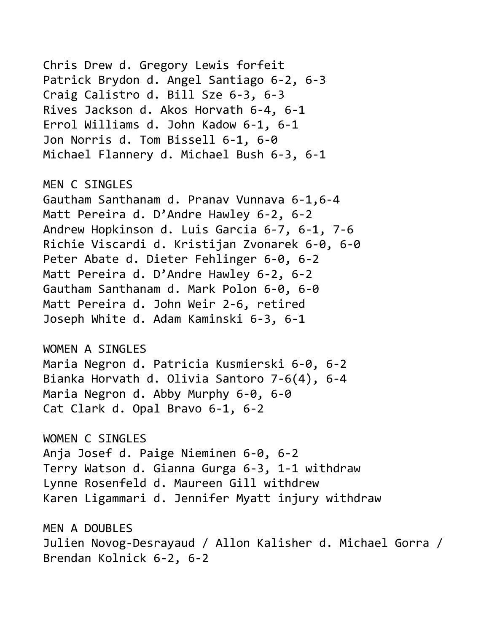Chris Drew d. Gregory Lewis forfeit Patrick Brydon d. Angel Santiago 6-2, 6-3 Craig Calistro d. Bill Sze 6-3, 6-3 Rives Jackson d. Akos Horvath 6-4, 6-1 Errol Williams d. John Kadow 6-1, 6-1 Jon Norris d. Tom Bissell 6-1, 6-0 Michael Flannery d. Michael Bush 6-3, 6-1 MEN C SINGLES Gautham Santhanam d. Pranav Vunnava 6-1,6-4 Matt Pereira d. D'Andre Hawley 6-2, 6-2 Andrew Hopkinson d. Luis Garcia 6-7, 6-1, 7-6 Richie Viscardi d. Kristijan Zvonarek 6-0, 6-0 Peter Abate d. Dieter Fehlinger 6-0, 6-2 Matt Pereira d. D'Andre Hawley 6-2, 6-2 Gautham Santhanam d. Mark Polon 6-0, 6-0 Matt Pereira d. John Weir 2-6, retired Joseph White d. Adam Kaminski 6-3, 6-1 WOMEN A SINGLES Maria Negron d. Patricia Kusmierski 6-0, 6-2 Bianka Horvath d. Olivia Santoro 7-6(4), 6-4 Maria Negron d. Abby Murphy 6-0, 6-0 Cat Clark d. Opal Bravo 6-1, 6-2 WOMEN C SINGLES Anja Josef d. Paige Nieminen 6-0, 6-2 Terry Watson d. Gianna Gurga 6-3, 1-1 withdraw Lynne Rosenfeld d. Maureen Gill withdrew Karen Ligammari d. Jennifer Myatt injury withdraw MEN A DOUBLES Julien Novog-Desrayaud / Allon Kalisher d. Michael Gorra /

Brendan Kolnick 6-2, 6-2